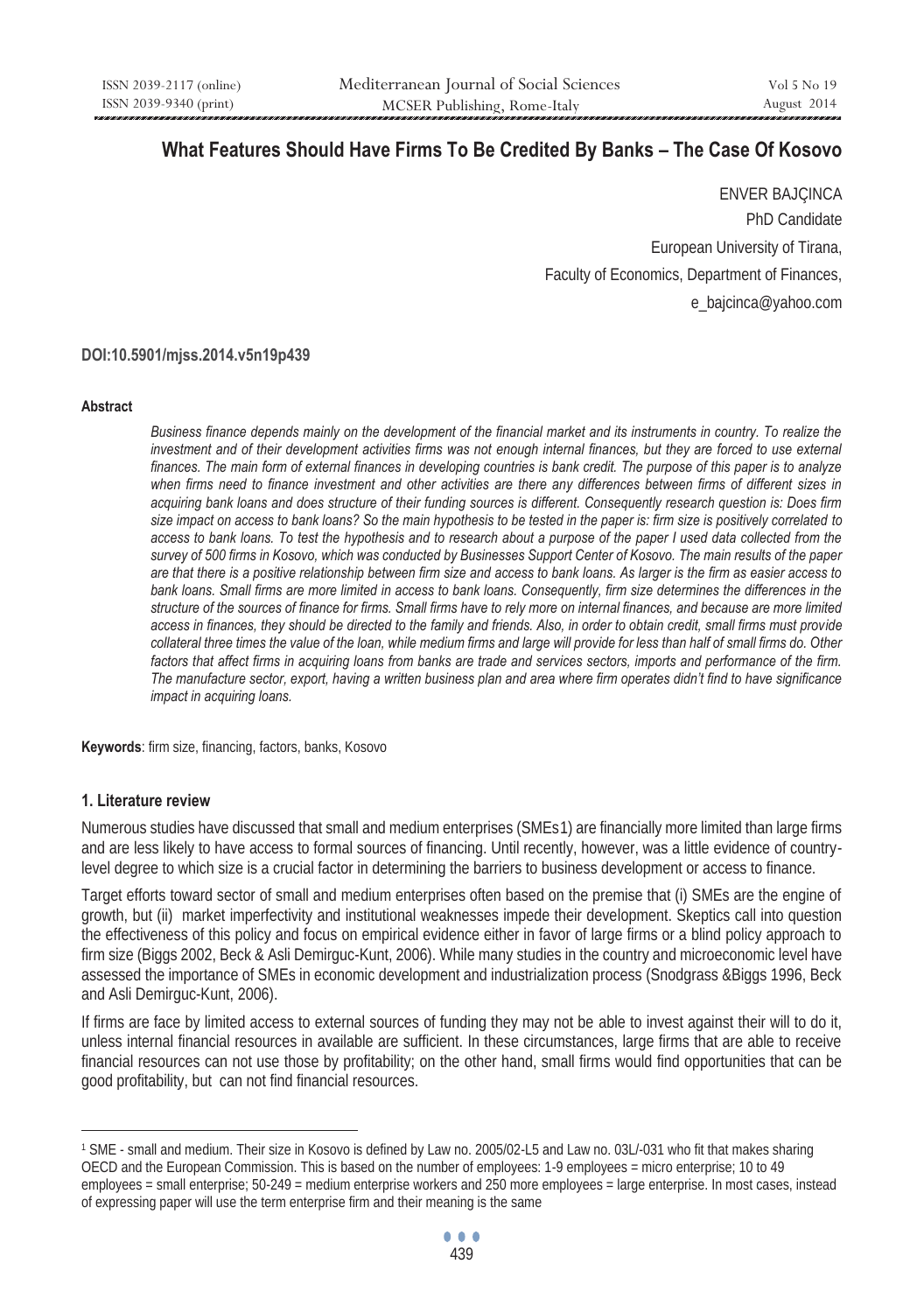# **What Features Should Have Firms To Be Credited By Banks – The Case Of Kosovo**

ENVER BAJÇINCA PhD Candidate European University of Tirana, Faculty of Economics, Department of Finances, e\_bajcinca@yahoo.com

**DOI:10.5901/mjss.2014.v5n19p439** 

#### **Abstract**

*Business finance depends mainly on the development of the financial market and its instruments in country. To realize the investment and of their development activities firms was not enough internal finances, but they are forced to use external finances. The main form of external finances in developing countries is bank credit. The purpose of this paper is to analyze when firms need to finance investment and other activities are there any differences between firms of different sizes in acquiring bank loans and does structure of their funding sources is different. Consequently research question is: Does firm size impact on access to bank loans? So the main hypothesis to be tested in the paper is: firm size is positively correlated to* access to bank loans. To test the hypothesis and to research about a purpose of the paper I used data collected from the *survey of 500 firms in Kosovo, which was conducted by Businesses Support Center of Kosovo. The main results of the paper are that there is a positive relationship between firm size and access to bank loans. As larger is the firm as easier access to* bank loans. Small firms are more limited in access to bank loans. Consequently, firm size determines the differences in the *structure of the sources of finance for firms. Small firms have to rely more on internal finances, and because are more limited access in finances, they should be directed to the family and friends. Also, in order to obtain credit, small firms must provide collateral three times the value of the loan, while medium firms and large will provide for less than half of small firms do. Other factors that affect firms in acquiring loans from banks are trade and services sectors, imports and performance of the firm. The manufacture sector, export, having a written business plan and area where firm operates didn't find to have significance impact in acquiring loans.* 

**Keywords**: firm size, financing, factors, banks, Kosovo

#### **1. Literature review**

 $\overline{a}$ 

Numerous studies have discussed that small and medium enterprises (SMEs1) are financially more limited than large firms and are less likely to have access to formal sources of financing. Until recently, however, was a little evidence of countrylevel degree to which size is a crucial factor in determining the barriers to business development or access to finance.

Target efforts toward sector of small and medium enterprises often based on the premise that (i) SMEs are the engine of growth, but (ii) market imperfectivity and institutional weaknesses impede their development. Skeptics call into question the effectiveness of this policy and focus on empirical evidence either in favor of large firms or a blind policy approach to firm size (Biggs 2002, Beck & Asli Demirguc-Kunt, 2006). While many studies in the country and microeconomic level have assessed the importance of SMEs in economic development and industrialization process (Snodgrass &Biggs 1996, Beck and Asli Demirguc-Kunt, 2006).

If firms are face by limited access to external sources of funding they may not be able to invest against their will to do it, unless internal financial resources in available are sufficient. In these circumstances, large firms that are able to receive financial resources can not use those by profitability; on the other hand, small firms would find opportunities that can be good profitability, but can not find financial resources.

<sup>1</sup> SME - small and medium. Their size in Kosovo is defined by Law no. 2005/02-L5 and Law no. 03L/-031 who fit that makes sharing OECD and the European Commission. This is based on the number of employees: 1-9 employees = micro enterprise; 10 to 49 employees = small enterprise; 50-249 = medium enterprise workers and 250 more employees = large enterprise. In most cases, instead of expressing paper will use the term enterprise firm and their meaning is the same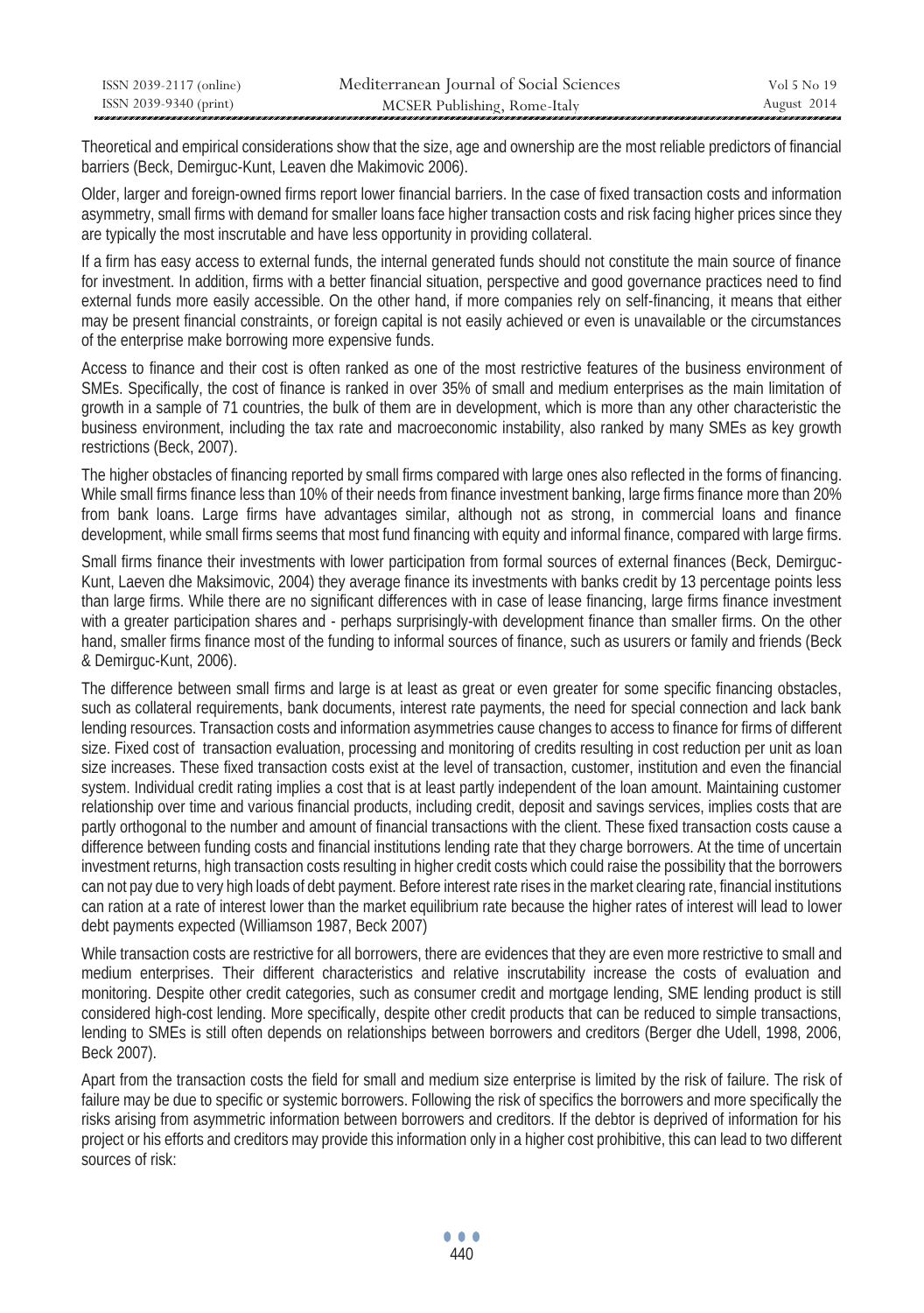| ISSN 2039-2117 (online) | Mediterranean Journal of Social Sciences | Vol 5 No 19 |
|-------------------------|------------------------------------------|-------------|
| ISSN 2039-9340 (print)  | MCSER Publishing, Rome-Italy             | August 2014 |

Theoretical and empirical considerations show that the size, age and ownership are the most reliable predictors of financial barriers (Beck, Demirguc-Kunt, Leaven dhe Makimovic 2006).

Older, larger and foreign-owned firms report lower financial barriers. In the case of fixed transaction costs and information asymmetry, small firms with demand for smaller loans face higher transaction costs and risk facing higher prices since they are typically the most inscrutable and have less opportunity in providing collateral.

If a firm has easy access to external funds, the internal generated funds should not constitute the main source of finance for investment. In addition, firms with a better financial situation, perspective and good governance practices need to find external funds more easily accessible. On the other hand, if more companies rely on self-financing, it means that either may be present financial constraints, or foreign capital is not easily achieved or even is unavailable or the circumstances of the enterprise make borrowing more expensive funds.

Access to finance and their cost is often ranked as one of the most restrictive features of the business environment of SMEs. Specifically, the cost of finance is ranked in over 35% of small and medium enterprises as the main limitation of growth in a sample of 71 countries, the bulk of them are in development, which is more than any other characteristic the business environment, including the tax rate and macroeconomic instability, also ranked by many SMEs as key growth restrictions (Beck, 2007).

The higher obstacles of financing reported by small firms compared with large ones also reflected in the forms of financing. While small firms finance less than 10% of their needs from finance investment banking, large firms finance more than 20% from bank loans. Large firms have advantages similar, although not as strong, in commercial loans and finance development, while small firms seems that most fund financing with equity and informal finance, compared with large firms.

Small firms finance their investments with lower participation from formal sources of external finances (Beck, Demirguc-Kunt, Laeven dhe Maksimovic, 2004) they average finance its investments with banks credit by 13 percentage points less than large firms. While there are no significant differences with in case of lease financing, large firms finance investment with a greater participation shares and - perhaps surprisingly-with development finance than smaller firms. On the other hand, smaller firms finance most of the funding to informal sources of finance, such as usurers or family and friends (Beck & Demirguc-Kunt, 2006).

The difference between small firms and large is at least as great or even greater for some specific financing obstacles, such as collateral requirements, bank documents, interest rate payments, the need for special connection and lack bank lending resources. Transaction costs and information asymmetries cause changes to access to finance for firms of different size. Fixed cost of transaction evaluation, processing and monitoring of credits resulting in cost reduction per unit as loan size increases. These fixed transaction costs exist at the level of transaction, customer, institution and even the financial system. Individual credit rating implies a cost that is at least partly independent of the loan amount. Maintaining customer relationship over time and various financial products, including credit, deposit and savings services, implies costs that are partly orthogonal to the number and amount of financial transactions with the client. These fixed transaction costs cause a difference between funding costs and financial institutions lending rate that they charge borrowers. At the time of uncertain investment returns, high transaction costs resulting in higher credit costs which could raise the possibility that the borrowers can not pay due to very high loads of debt payment. Before interest rate rises in the market clearing rate, financial institutions can ration at a rate of interest lower than the market equilibrium rate because the higher rates of interest will lead to lower debt payments expected (Williamson 1987, Beck 2007)

While transaction costs are restrictive for all borrowers, there are evidences that they are even more restrictive to small and medium enterprises. Their different characteristics and relative inscrutability increase the costs of evaluation and monitoring. Despite other credit categories, such as consumer credit and mortgage lending, SME lending product is still considered high-cost lending. More specifically, despite other credit products that can be reduced to simple transactions, lending to SMEs is still often depends on relationships between borrowers and creditors (Berger dhe Udell, 1998, 2006, Beck 2007).

Apart from the transaction costs the field for small and medium size enterprise is limited by the risk of failure. The risk of failure may be due to specific or systemic borrowers. Following the risk of specifics the borrowers and more specifically the risks arising from asymmetric information between borrowers and creditors. If the debtor is deprived of information for his project or his efforts and creditors may provide this information only in a higher cost prohibitive, this can lead to two different sources of risk: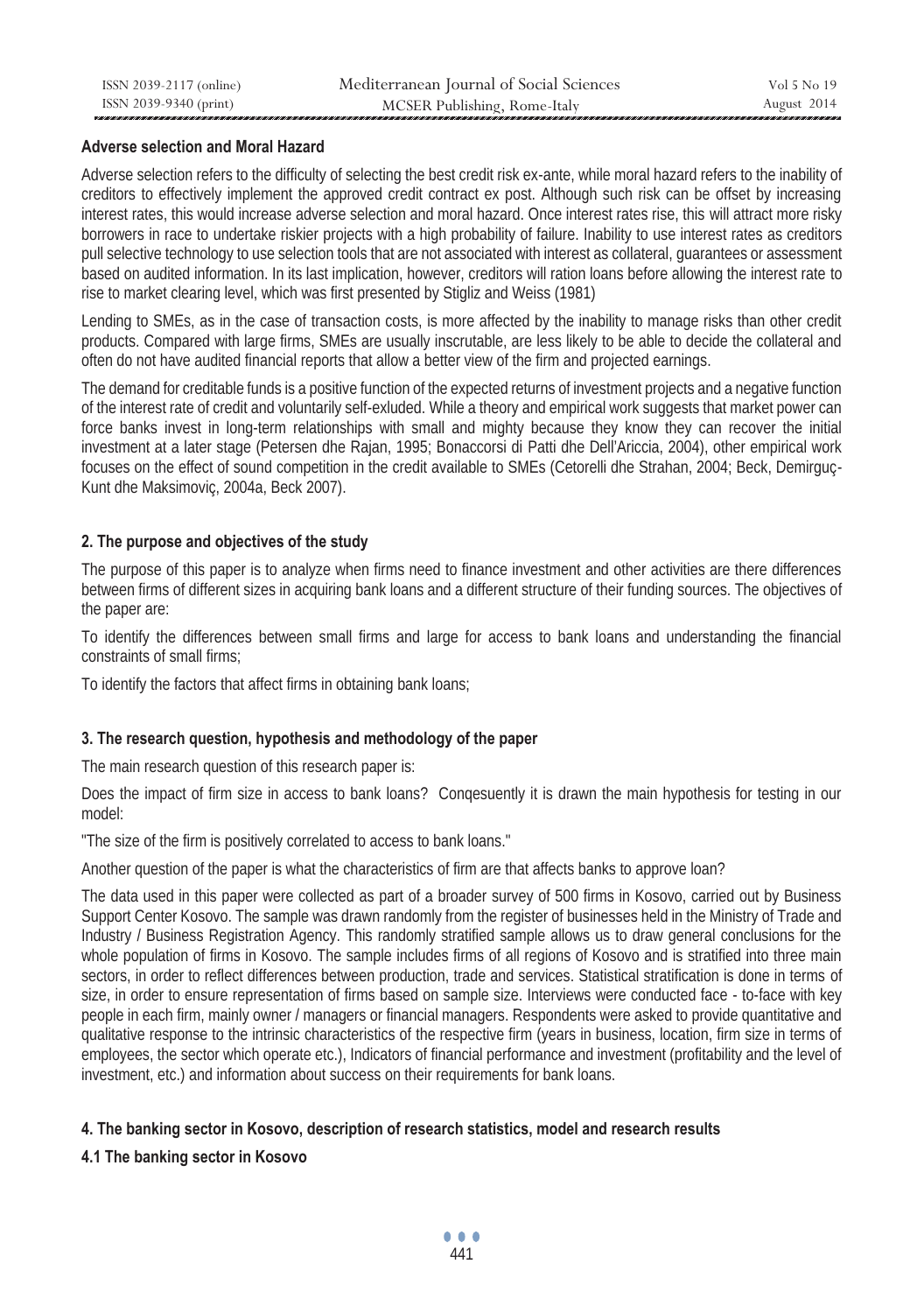## **Adverse selection and Moral Hazard**

Adverse selection refers to the difficulty of selecting the best credit risk ex-ante, while moral hazard refers to the inability of creditors to effectively implement the approved credit contract ex post. Although such risk can be offset by increasing interest rates, this would increase adverse selection and moral hazard. Once interest rates rise, this will attract more risky borrowers in race to undertake riskier projects with a high probability of failure. Inability to use interest rates as creditors pull selective technology to use selection tools that are not associated with interest as collateral, guarantees or assessment based on audited information. In its last implication, however, creditors will ration loans before allowing the interest rate to rise to market clearing level, which was first presented by Stigliz and Weiss (1981)

Lending to SMEs, as in the case of transaction costs, is more affected by the inability to manage risks than other credit products. Compared with large firms, SMEs are usually inscrutable, are less likely to be able to decide the collateral and often do not have audited financial reports that allow a better view of the firm and projected earnings.

The demand for creditable funds is a positive function of the expected returns of investment projects and a negative function of the interest rate of credit and voluntarily self-exluded. While a theory and empirical work suggests that market power can force banks invest in long-term relationships with small and mighty because they know they can recover the initial investment at a later stage (Petersen dhe Rajan, 1995; Bonaccorsi di Patti dhe Dell'Ariccia, 2004), other empirical work focuses on the effect of sound competition in the credit available to SMEs (Cetorelli dhe Strahan, 2004; Beck, Demirguç-Kunt dhe Maksimoviç, 2004a, Beck 2007).

## **2. The purpose and objectives of the study**

The purpose of this paper is to analyze when firms need to finance investment and other activities are there differences between firms of different sizes in acquiring bank loans and a different structure of their funding sources. The objectives of the paper are:

To identify the differences between small firms and large for access to bank loans and understanding the financial constraints of small firms;

To identify the factors that affect firms in obtaining bank loans;

#### **3. The research question, hypothesis and methodology of the paper**

The main research question of this research paper is:

Does the impact of firm size in access to bank loans? Conqesuently it is drawn the main hypothesis for testing in our model:

"The size of the firm is positively correlated to access to bank loans."

Another question of the paper is what the characteristics of firm are that affects banks to approve loan?

The data used in this paper were collected as part of a broader survey of 500 firms in Kosovo, carried out by Business Support Center Kosovo. The sample was drawn randomly from the register of businesses held in the Ministry of Trade and Industry / Business Registration Agency. This randomly stratified sample allows us to draw general conclusions for the whole population of firms in Kosovo. The sample includes firms of all regions of Kosovo and is stratified into three main sectors, in order to reflect differences between production, trade and services. Statistical stratification is done in terms of size, in order to ensure representation of firms based on sample size. Interviews were conducted face - to-face with key people in each firm, mainly owner / managers or financial managers. Respondents were asked to provide quantitative and qualitative response to the intrinsic characteristics of the respective firm (years in business, location, firm size in terms of employees, the sector which operate etc.), Indicators of financial performance and investment (profitability and the level of investment, etc.) and information about success on their requirements for bank loans.

# **4. The banking sector in Kosovo, description of research statistics, model and research results**

# **4.1 The banking sector in Kosovo**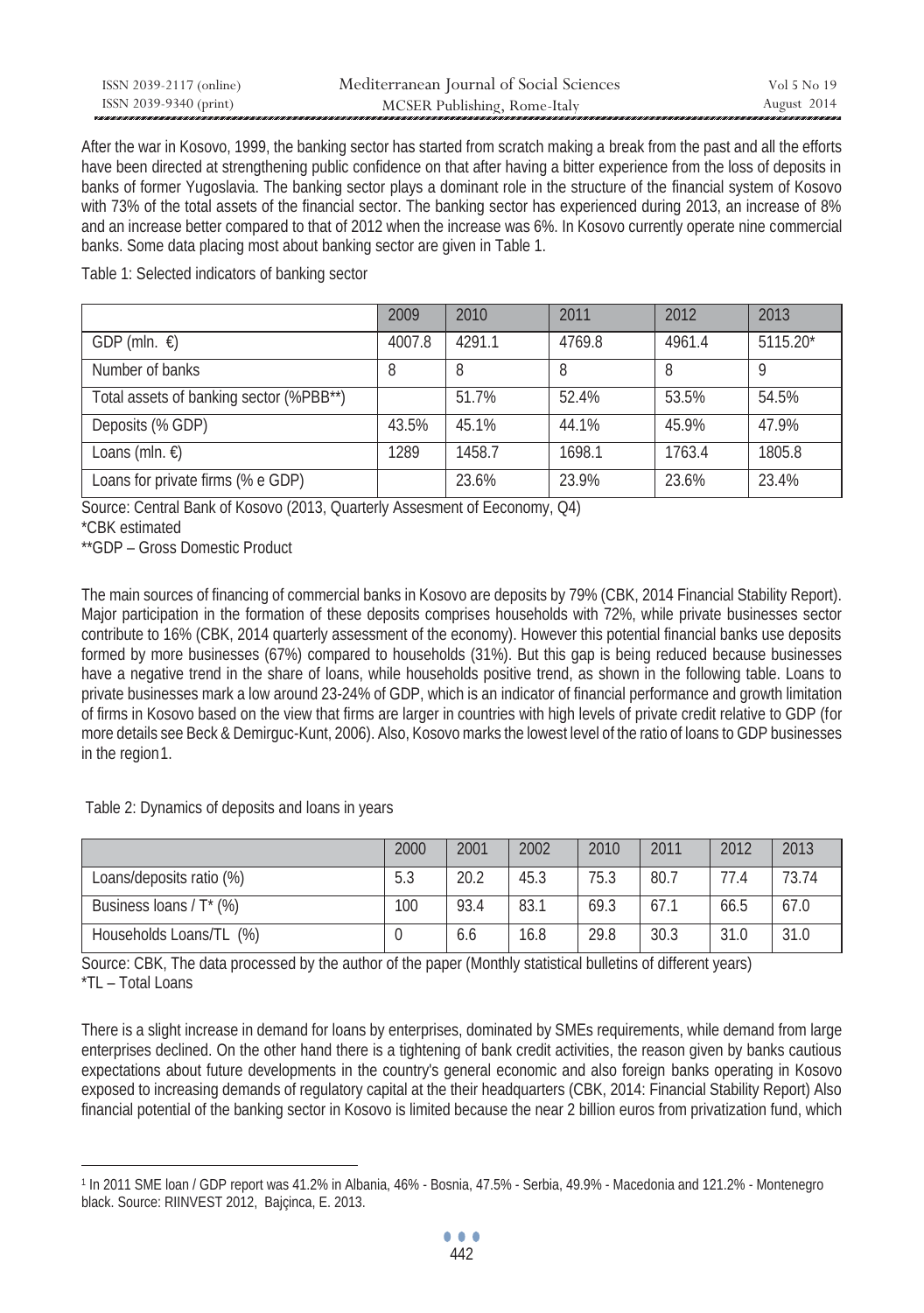| ISSN 2039-2117 (online) | Mediterranean Journal of Social Sciences | Vol 5 No 19 |
|-------------------------|------------------------------------------|-------------|
| ISSN 2039-9340 (print)  | MCSER Publishing, Rome-Italy             | August 2014 |

After the war in Kosovo, 1999, the banking sector has started from scratch making a break from the past and all the efforts have been directed at strengthening public confidence on that after having a bitter experience from the loss of deposits in banks of former Yugoslavia. The banking sector plays a dominant role in the structure of the financial system of Kosovo with 73% of the total assets of the financial sector. The banking sector has experienced during 2013, an increase of 8% and an increase better compared to that of 2012 when the increase was 6%. In Kosovo currently operate nine commercial banks. Some data placing most about banking sector are given in Table 1.

Table 1: Selected indicators of banking sector

|                                         | 2009   | 2010   | 2011   | 2012   | 2013     |
|-----------------------------------------|--------|--------|--------|--------|----------|
| GDP (mln. $\epsilon$ )                  | 4007.8 | 4291.1 | 4769.8 | 4961.4 | 5115.20* |
| Number of banks                         | 8      |        | 8      | 8      | ο        |
| Total assets of banking sector (%PBB**) |        | 51.7%  | 52.4%  | 53.5%  | 54.5%    |
| Deposits (% GDP)                        | 43.5%  | 45.1%  | 44.1%  | 45.9%  | 47.9%    |
| Loans (mln. €)                          | 1289   | 1458.7 | 1698.1 | 1763.4 | 1805.8   |
| Loans for private firms (% e GDP)       |        | 23.6%  | 23.9%  | 23.6%  | 23.4%    |

Source: Central Bank of Kosovo (2013, Quarterly Assesment of Eeconomy, Q4)

\*CBK estimated

 $\overline{a}$ 

\*\*GDP – Gross Domestic Product

The main sources of financing of commercial banks in Kosovo are deposits by 79% (CBK, 2014 Financial Stability Report). Major participation in the formation of these deposits comprises households with 72%, while private businesses sector contribute to 16% (CBK, 2014 quarterly assessment of the economy). However this potential financial banks use deposits formed by more businesses (67%) compared to households (31%). But this gap is being reduced because businesses have a negative trend in the share of loans, while households positive trend, as shown in the following table. Loans to private businesses mark a low around 23-24% of GDP, which is an indicator of financial performance and growth limitation of firms in Kosovo based on the view that firms are larger in countries with high levels of private credit relative to GDP (for more details see Beck & Demirguc-Kunt, 2006). Also, Kosovo marks the lowest level of the ratio of loans to GDP businesses in the region1.

Table 2: Dynamics of deposits and loans in years

|                          | 2000 | 2001 | 2002 | 2010 | 2011 | 2012 | 2013  |
|--------------------------|------|------|------|------|------|------|-------|
| Loans/deposits ratio (%) | 5.3  | 20.2 | 45.3 | 75.3 | 80.7 | 77.4 | 73.74 |
| Business loans / T* (%)  | 100  | 93.4 | 83.1 | 69.3 | 67.1 | 66.5 | 67.0  |
| Households Loans/TL (%)  |      | 6.6  | 16.8 | 29.8 | 30.3 | 31.0 | 31.0  |

Source: CBK, The data processed by the author of the paper (Monthly statistical bulletins of different years) \*TL – Total Loans

There is a slight increase in demand for loans by enterprises, dominated by SMEs requirements, while demand from large enterprises declined. On the other hand there is a tightening of bank credit activities, the reason given by banks cautious expectations about future developments in the country's general economic and also foreign banks operating in Kosovo exposed to increasing demands of regulatory capital at the their headquarters (CBK, 2014: Financial Stability Report) Also financial potential of the banking sector in Kosovo is limited because the near 2 billion euros from privatization fund, which

<sup>1</sup> In 2011 SME loan / GDP report was 41.2% in Albania, 46% - Bosnia, 47.5% - Serbia, 49.9% - Macedonia and 121.2% - Montenegro black. Source: RIINVEST 2012, Bajçinca, E. 2013.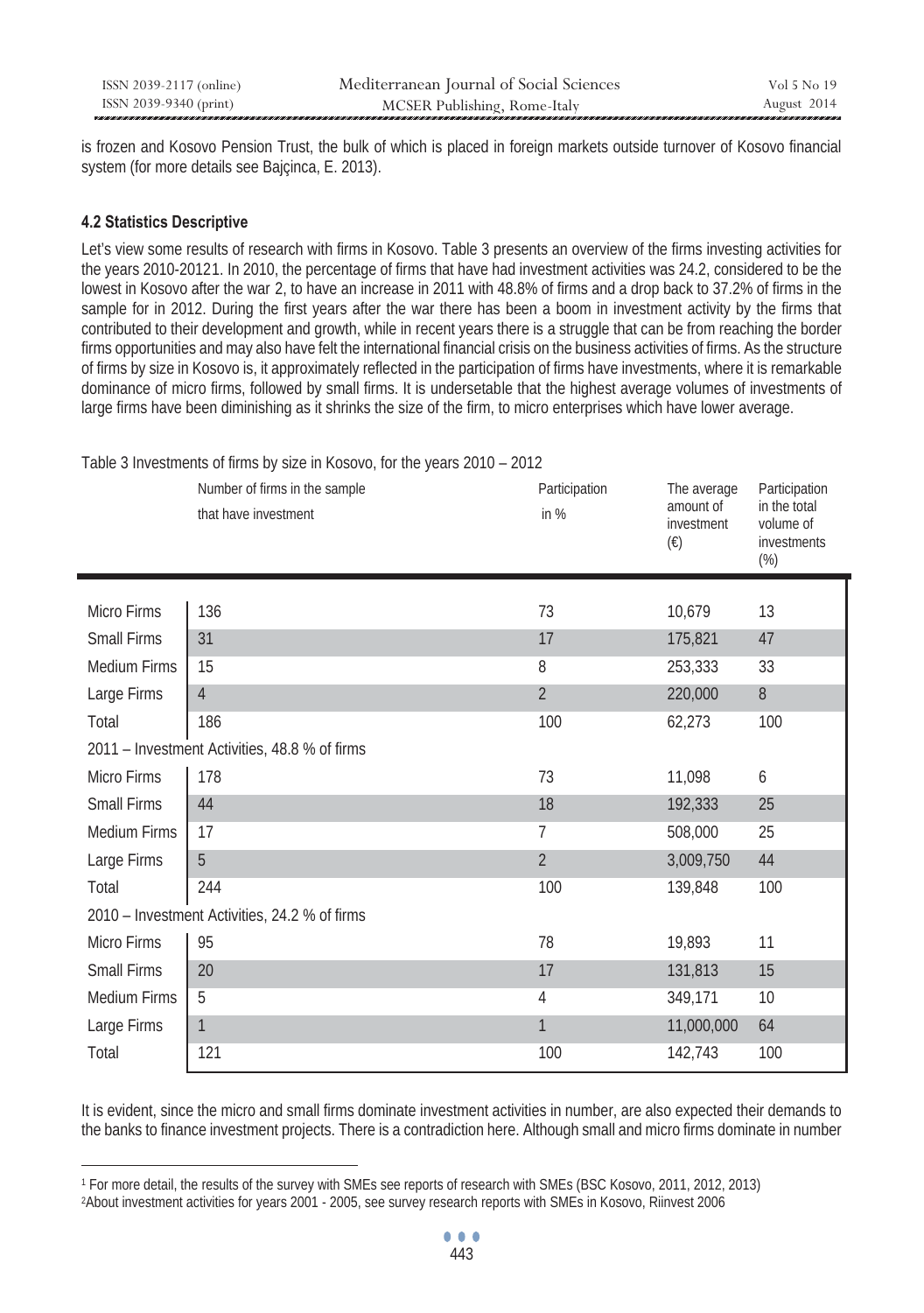| ISSN 2039-2117 (online) | Mediterranean Journal of Social Sciences | Vol 5 No 19 |
|-------------------------|------------------------------------------|-------------|
| ISSN 2039-9340 (print)  | MCSER Publishing, Rome-Italy             | August 2014 |

is frozen and Kosovo Pension Trust, the bulk of which is placed in foreign markets outside turnover of Kosovo financial system (for more details see Baicinca, E. 2013).

### **4.2 Statistics Descriptive**

 $\overline{a}$ 

 $\mathbf{I}$ 

Let's view some results of research with firms in Kosovo. Table 3 presents an overview of the firms investing activities for the years 2010-20121. In 2010, the percentage of firms that have had investment activities was 24.2, considered to be the lowest in Kosovo after the war 2, to have an increase in 2011 with 48.8% of firms and a drop back to 37.2% of firms in the sample for in 2012. During the first years after the war there has been a boom in investment activity by the firms that contributed to their development and growth, while in recent years there is a struggle that can be from reaching the border firms opportunities and may also have felt the international financial crisis on the business activities of firms. As the structure of firms by size in Kosovo is, it approximately reflected in the participation of firms have investments, where it is remarkable dominance of micro firms, followed by small firms. It is undersetable that the highest average volumes of investments of large firms have been diminishing as it shrinks the size of the firm, to micro enterprises which have lower average.

|                     | Number of firms in the sample<br>that have investment | Participation<br>in $%$ | The average<br>amount of<br>investment<br>$(\epsilon)$ | Participation<br>in the total<br>volume of<br>investments<br>$(\%)$ |
|---------------------|-------------------------------------------------------|-------------------------|--------------------------------------------------------|---------------------------------------------------------------------|
| <b>Micro Firms</b>  | 136                                                   | 73                      | 10,679                                                 | 13                                                                  |
| Small Firms         | 31                                                    | 17                      | 175,821                                                | 47                                                                  |
|                     |                                                       |                         |                                                        |                                                                     |
| <b>Medium Firms</b> | 15                                                    | 8                       | 253,333                                                | 33                                                                  |
| Large Firms         | $\overline{4}$                                        | $\overline{2}$          | 220,000                                                | $\, 8$                                                              |
| Total               | 186                                                   | 100                     | 62,273                                                 | 100                                                                 |
|                     | 2011 - Investment Activities, 48.8 % of firms         |                         |                                                        |                                                                     |
| Micro Firms         | 178                                                   | 73                      | 11,098                                                 | 6                                                                   |
| Small Firms         | 44                                                    | 18                      | 192,333                                                | 25                                                                  |
| <b>Medium Firms</b> | 17                                                    | 7                       | 508,000                                                | 25                                                                  |
| Large Firms         | 5                                                     | $\overline{2}$          | 3,009,750                                              | 44                                                                  |
| Total               | 244                                                   | 100                     | 139,848                                                | 100                                                                 |
|                     | 2010 - Investment Activities, 24.2 % of firms         |                         |                                                        |                                                                     |
| Micro Firms         | 95                                                    | 78                      | 19,893                                                 | 11                                                                  |
| Small Firms         | 20                                                    | 17                      | 131,813                                                | 15                                                                  |
| <b>Medium Firms</b> | 5                                                     | 4                       | 349,171                                                | 10                                                                  |
| Large Firms         | $\mathbf{1}$                                          | $\mathbf{1}$            | 11,000,000                                             | 64                                                                  |
| Total               | 121                                                   | 100                     | 142,743                                                | 100                                                                 |

Table 3 Investments of firms by size in Kosovo, for the years 2010 – 2012

It is evident, since the micro and small firms dominate investment activities in number, are also expected their demands to the banks to finance investment projects. There is a contradiction here. Although small and micro firms dominate in number

<sup>&</sup>lt;sup>1</sup> For more detail, the results of the survey with SMEs see reports of research with SMEs (BSC Kosovo, 2011, 2012, 2013)<br><sup>2</sup>About investment activities for years 2001 - 2005, see survey research reports with SMEs in Kosov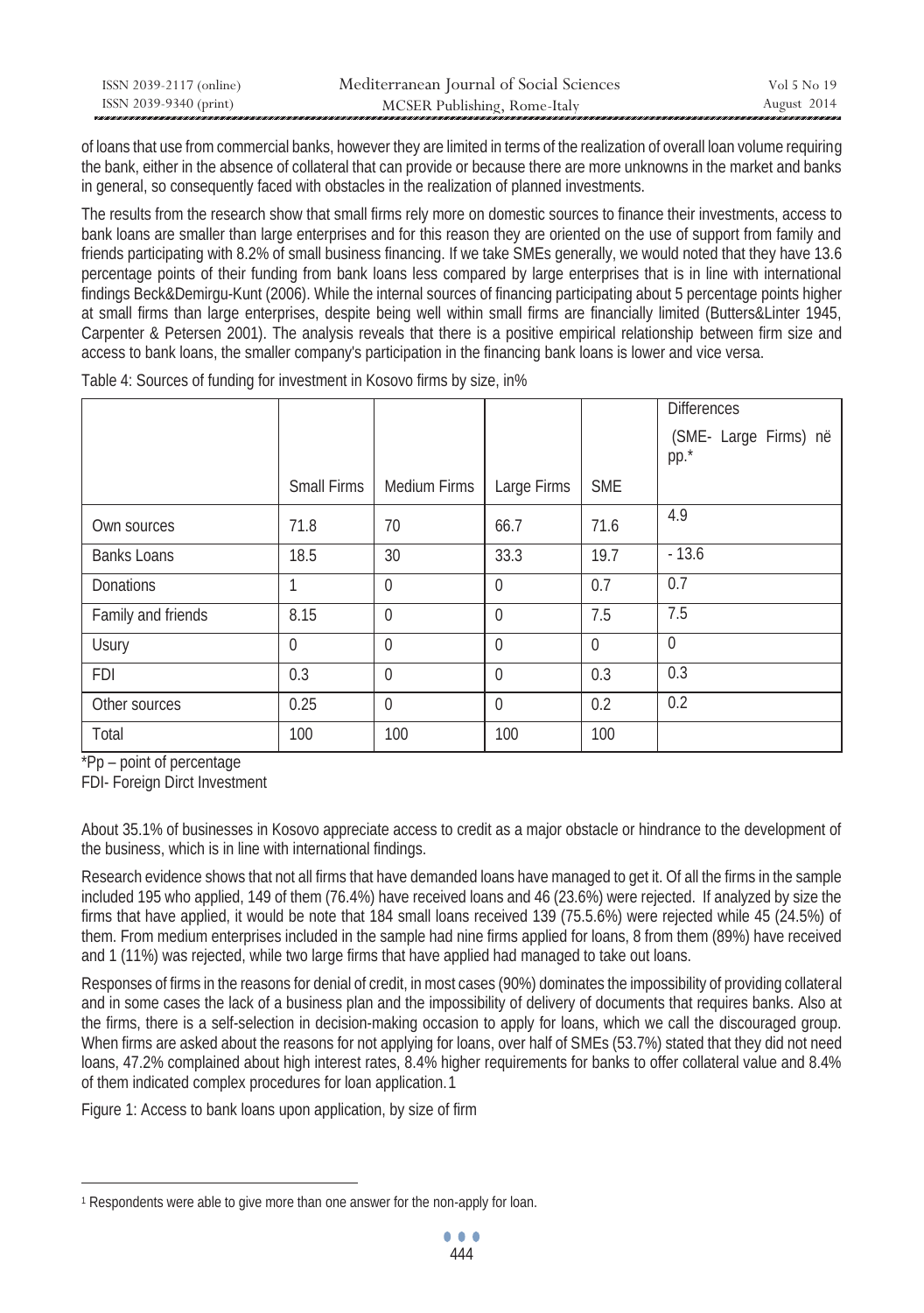| ISSN 2039-2117 (online) | Mediterranean Journal of Social Sciences | Vol 5 No 19 |
|-------------------------|------------------------------------------|-------------|
| ISSN 2039-9340 (print)  | MCSER Publishing, Rome-Italy             | August 2014 |

of loans that use from commercial banks, however they are limited in terms of the realization of overall loan volume requiring the bank, either in the absence of collateral that can provide or because there are more unknowns in the market and banks in general, so consequently faced with obstacles in the realization of planned investments.

The results from the research show that small firms rely more on domestic sources to finance their investments, access to bank loans are smaller than large enterprises and for this reason they are oriented on the use of support from family and friends participating with 8.2% of small business financing. If we take SMEs generally, we would noted that they have 13.6 percentage points of their funding from bank loans less compared by large enterprises that is in line with international findings Beck&Demirgu-Kunt (2006). While the internal sources of financing participating about 5 percentage points higher at small firms than large enterprises, despite being well within small firms are financially limited (Butters&Linter 1945, Carpenter & Petersen 2001). The analysis reveals that there is a positive empirical relationship between firm size and access to bank loans, the smaller company's participation in the financing bank loans is lower and vice versa.

|                    |             |                     |             |            | <b>Differences</b>            |
|--------------------|-------------|---------------------|-------------|------------|-------------------------------|
|                    |             |                     |             |            | (SME- Large Firms) në<br>pp.* |
|                    | Small Firms | <b>Medium Firms</b> | Large Firms | <b>SME</b> |                               |
| Own sources        | 71.8        | 70                  | 66.7        | 71.6       | 4.9                           |
| <b>Banks Loans</b> | 18.5        | 30                  | 33.3        | 19.7       | $-13.6$                       |
| <b>Donations</b>   | 1           | $\Omega$            | $\theta$    | 0.7        | 0.7                           |
| Family and friends | 8.15        | $\Omega$            | $\theta$    | 7.5        | 7.5                           |
| Usury              | $\theta$    | $\Omega$            | $\theta$    | $\Omega$   | $\mathbf{0}$                  |
| <b>FDI</b>         | 0.3         | $\Omega$            | $\theta$    | 0.3        | 0.3                           |
| Other sources      | 0.25        | $\Omega$            | $\theta$    | 0.2        | 0.2                           |
| Total              | 100         | 100                 | 100         | 100        |                               |

Table 4: Sources of funding for investment in Kosovo firms by size, in%

\*Pp – point of percentage

 $\overline{a}$ 

FDI- Foreign Dirct Investment

About 35.1% of businesses in Kosovo appreciate access to credit as a major obstacle or hindrance to the development of the business, which is in line with international findings.

Research evidence shows that not all firms that have demanded loans have managed to get it. Of all the firms in the sample included 195 who applied, 149 of them (76.4%) have received loans and 46 (23.6%) were rejected. If analyzed by size the firms that have applied, it would be note that 184 small loans received 139 (75.5.6%) were rejected while 45 (24.5%) of them. From medium enterprises included in the sample had nine firms applied for loans, 8 from them (89%) have received and 1 (11%) was rejected, while two large firms that have applied had managed to take out loans.

Responses of firms in the reasons for denial of credit, in most cases (90%) dominates the impossibility of providing collateral and in some cases the lack of a business plan and the impossibility of delivery of documents that requires banks. Also at the firms, there is a self-selection in decision-making occasion to apply for loans, which we call the discouraged group. When firms are asked about the reasons for not applying for loans, over half of SMEs (53.7%) stated that they did not need loans, 47.2% complained about high interest rates, 8.4% higher requirements for banks to offer collateral value and 8.4% of them indicated complex procedures for loan application.1

Figure 1: Access to bank loans upon application, by size of firm

<sup>1</sup> Respondents were able to give more than one answer for the non-apply for loan.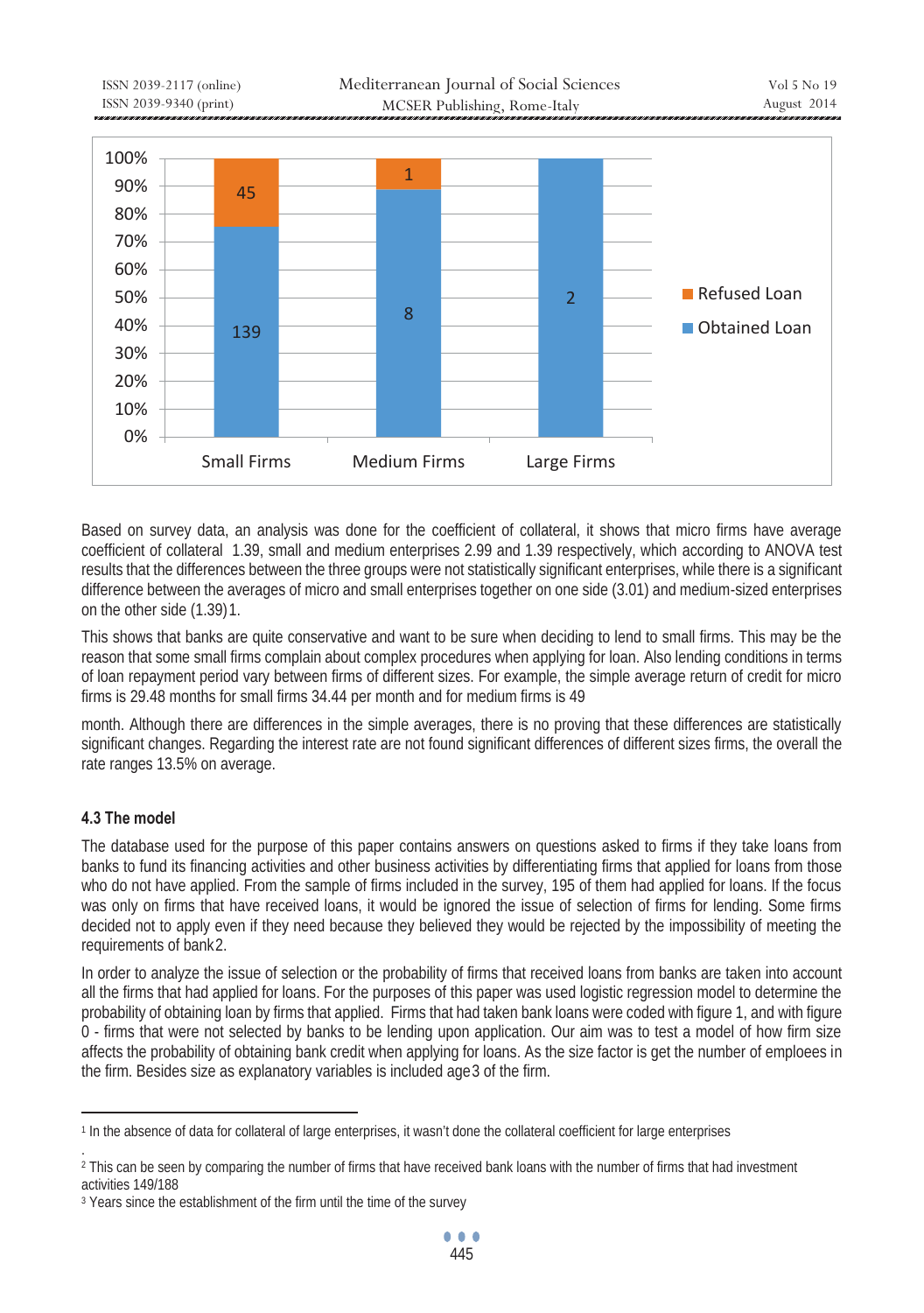

Based on survey data, an analysis was done for the coefficient of collateral, it shows that micro firms have average coefficient of collateral 1.39, small and medium enterprises 2.99 and 1.39 respectively, which according to ANOVA test results that the differences between the three groups were not statistically significant enterprises, while there is a significant difference between the averages of micro and small enterprises together on one side (3.01) and medium-sized enterprises on the other side  $(1.39)1$ .

This shows that banks are quite conservative and want to be sure when deciding to lend to small firms. This may be the reason that some small firms complain about complex procedures when applying for loan. Also lending conditions in terms of loan repayment period vary between firms of different sizes. For example, the simple average return of credit for micro firms is 29.48 months for small firms 34.44 per month and for medium firms is 49

month. Although there are differences in the simple averages, there is no proving that these differences are statistically significant changes. Regarding the interest rate are not found significant differences of different sizes firms, the overall the rate ranges 13.5% on average.

# **4.3 The model**

.

The database used for the purpose of this paper contains answers on questions asked to firms if they take loans from banks to fund its financing activities and other business activities by differentiating firms that applied for loans from those who do not have applied. From the sample of firms included in the survey, 195 of them had applied for loans. If the focus was only on firms that have received loans, it would be ignored the issue of selection of firms for lending. Some firms decided not to apply even if they need because they believed they would be rejected by the impossibility of meeting the requirements of bank2.

In order to analyze the issue of selection or the probability of firms that received loans from banks are taken into account all the firms that had applied for loans. For the purposes of this paper was used logistic regression model to determine the probability of obtaining loan by firms that applied. Firms that had taken bank loans were coded with figure 1, and with figure 0 - firms that were not selected by banks to be lending upon application. Our aim was to test a model of how firm size affects the probability of obtaining bank credit when applying for loans. As the size factor is get the number of emploees in the firm. Besides size as explanatory variables is included age 3 of the firm.

 $\overline{a}$ 1 In the absence of data for collateral of large enterprises, it wasn't done the collateral coefficient for large enterprises

<sup>&</sup>lt;sup>2</sup> This can be seen by comparing the number of firms that have received bank loans with the number of firms that had investment activities 149/188

<sup>&</sup>lt;sup>3</sup> Years since the establishment of the firm until the time of the survey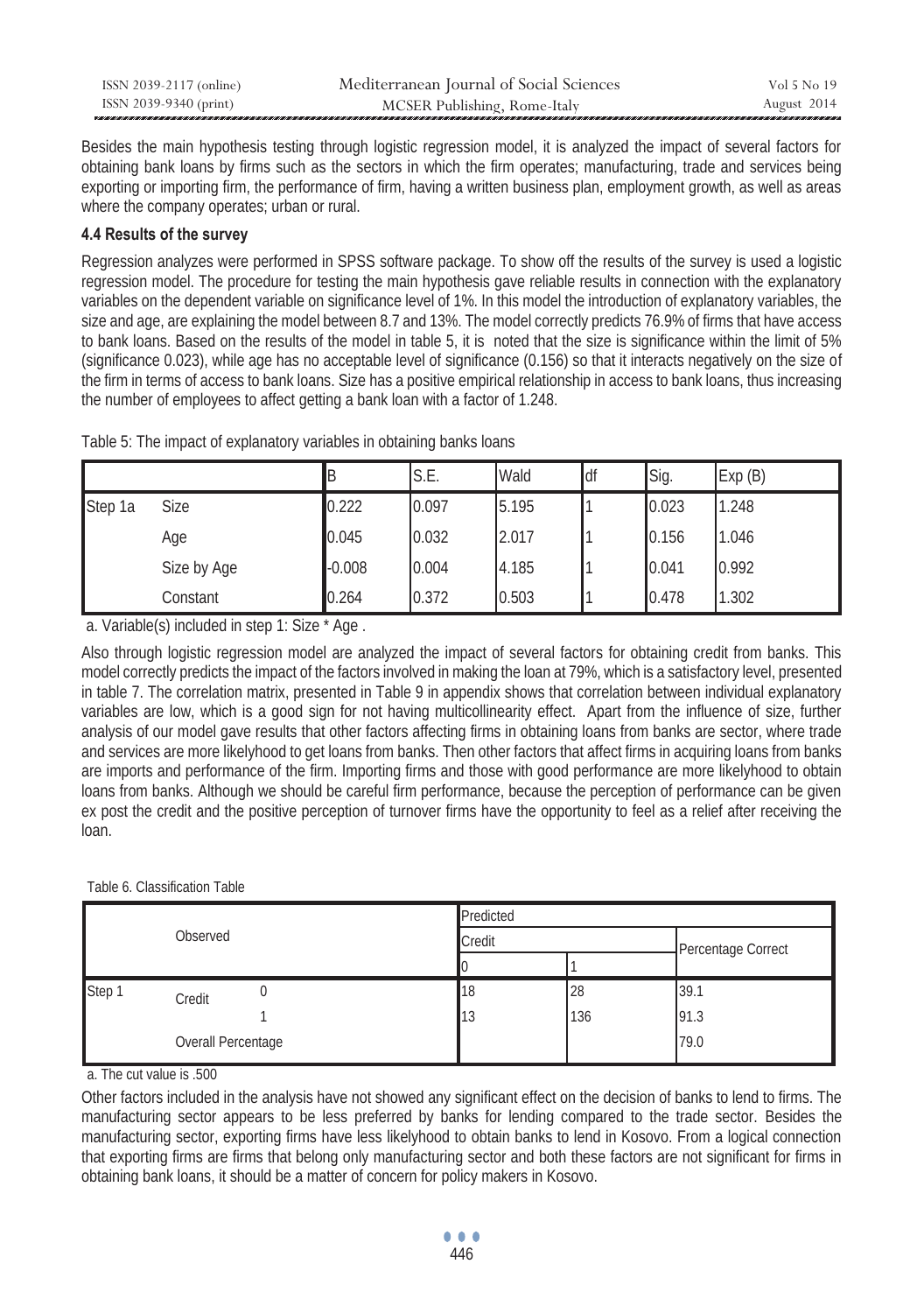| ISSN 2039-2117 (online) | Mediterranean Journal of Social Sciences | Vol 5 No 19 |
|-------------------------|------------------------------------------|-------------|
| ISSN 2039-9340 (print)  | MCSER Publishing, Rome-Italy             | August 2014 |

Besides the main hypothesis testing through logistic regression model, it is analyzed the impact of several factors for obtaining bank loans by firms such as the sectors in which the firm operates; manufacturing, trade and services being exporting or importing firm, the performance of firm, having a written business plan, employment growth, as well as areas where the company operates; urban or rural.

# **4.4 Results of the survey**

Regression analyzes were performed in SPSS software package. To show off the results of the survey is used a logistic regression model. The procedure for testing the main hypothesis gave reliable results in connection with the explanatory variables on the dependent variable on significance level of 1%. In this model the introduction of explanatory variables, the size and age, are explaining the model between 8.7 and 13%. The model correctly predicts 76.9% of firms that have access to bank loans. Based on the results of the model in table 5, it is noted that the size is significance within the limit of 5% (significance 0.023), while age has no acceptable level of significance (0.156) so that it interacts negatively on the size of the firm in terms of access to bank loans. Size has a positive empirical relationship in access to bank loans, thus increasing the number of employees to affect getting a bank loan with a factor of 1.248.

|         |             | IΒ       | S.E.  | Wald  | ldf | Sig.  | Exp(B) |
|---------|-------------|----------|-------|-------|-----|-------|--------|
| Step 1a | <b>Size</b> | 0.222    | 0.097 | 5.195 |     | 0.023 | 1.248  |
|         | Age         | 0.045    | 0.032 | 2.017 |     | 0.156 | 1.046  |
|         | Size by Age | $-0.008$ | 0.004 | 4.185 |     | 0.041 | 0.992  |
|         | Constant    | 0.264    | 0.372 | 0.503 |     | 0.478 | 1.302  |

a. Variable(s) included in step 1: Size \* Age .

Also through logistic regression model are analyzed the impact of several factors for obtaining credit from banks. This model correctly predicts the impact of the factors involved in making the loan at 79%, which is a satisfactory level, presented in table 7. The correlation matrix, presented in Table 9 in appendix shows that correlation between individual explanatory variables are low, which is a good sign for not having multicollinearity effect. Apart from the influence of size, further analysis of our model gave results that other factors affecting firms in obtaining loans from banks are sector, where trade and services are more likelyhood to get loans from banks. Then other factors that affect firms in acquiring loans from banks are imports and performance of the firm. Importing firms and those with good performance are more likelyhood to obtain loans from banks. Although we should be careful firm performance, because the perception of performance can be given ex post the credit and the positive perception of turnover firms have the opportunity to feel as a relief after receiving the loan.

#### Table 6. Classification Table

| Observed |                    |  | Predicted |                    |      |  |  |  |
|----------|--------------------|--|-----------|--------------------|------|--|--|--|
|          |                    |  | Credit    | Percentage Correct |      |  |  |  |
|          |                    |  |           |                    |      |  |  |  |
| Step 1   | Credit             |  | 18        | 28                 | 39.1 |  |  |  |
|          |                    |  | 13        | 136                | 91.3 |  |  |  |
|          | Overall Percentage |  |           |                    | 79.0 |  |  |  |

a. The cut value is .500

Other factors included in the analysis have not showed any significant effect on the decision of banks to lend to firms. The manufacturing sector appears to be less preferred by banks for lending compared to the trade sector. Besides the manufacturing sector, exporting firms have less likelyhood to obtain banks to lend in Kosovo. From a logical connection that exporting firms are firms that belong only manufacturing sector and both these factors are not significant for firms in obtaining bank loans, it should be a matter of concern for policy makers in Kosovo.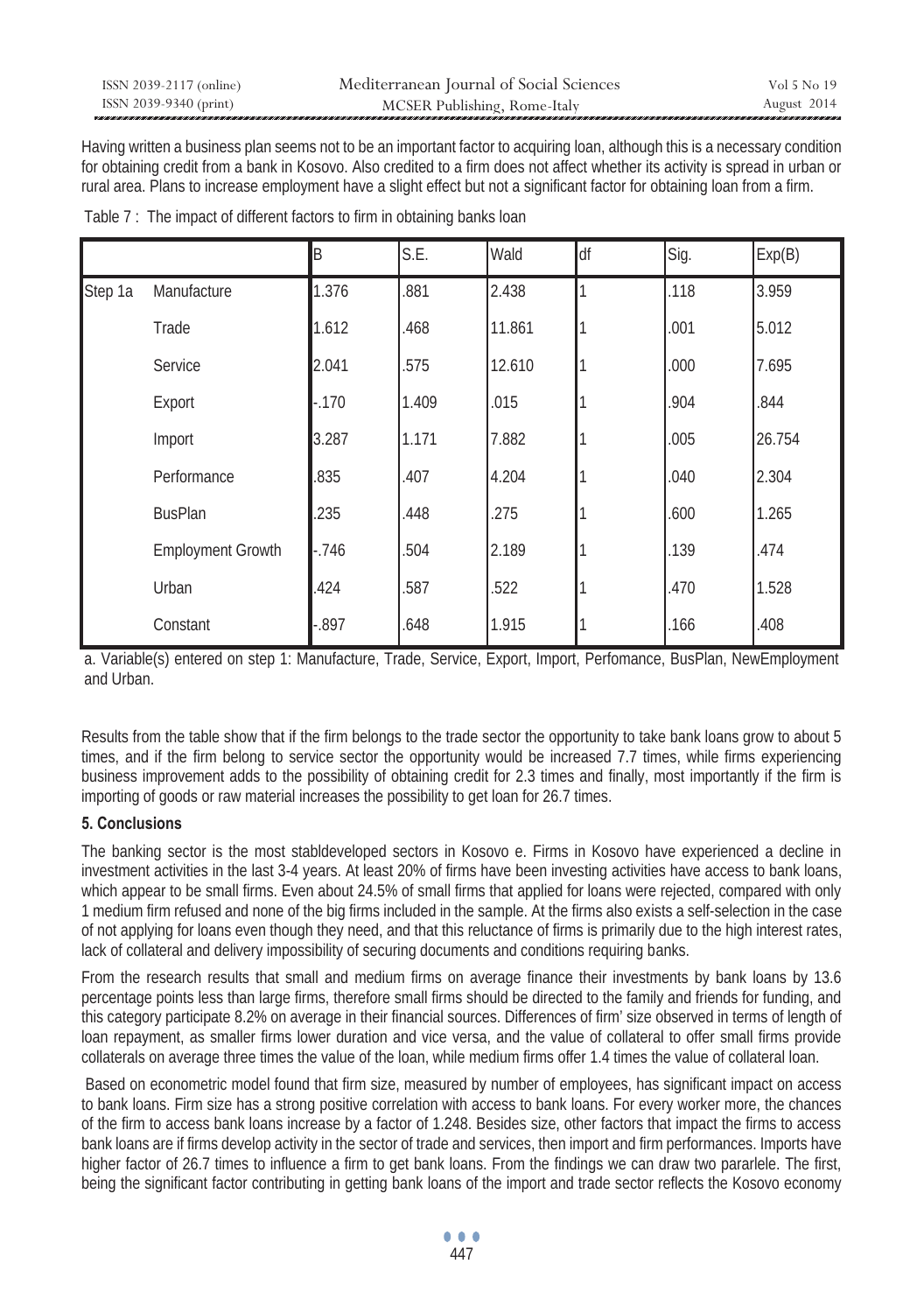| ISSN 2039-2117 (online) | Mediterranean Journal of Social Sciences | Vol 5 No 19 |
|-------------------------|------------------------------------------|-------------|
| ISSN 2039-9340 (print)  | MCSER Publishing, Rome-Italy             | August 2014 |

Having written a business plan seems not to be an important factor to acquiring loan, although this is a necessary condition for obtaining credit from a bank in Kosovo. Also credited to a firm does not affect whether its activity is spread in urban or rural area. Plans to increase employment have a slight effect but not a significant factor for obtaining loan from a firm.

|         |                          | B        | S.E.  | Wald   | df | Sig. | Exp(B) |
|---------|--------------------------|----------|-------|--------|----|------|--------|
| Step 1a | Manufacture              | 1.376    | .881  | 2.438  |    | .118 | 3.959  |
|         | Trade                    | 1.612    | .468  | 11.861 |    | .001 | 5.012  |
|         | Service                  | 2.041    | .575  | 12.610 |    | .000 | 7.695  |
|         | Export                   | $-170$   | 1.409 | .015   |    | .904 | .844   |
|         | Import                   | 3.287    | 1.171 | 7.882  |    | .005 | 26.754 |
|         | Performance              | .835     | .407  | 4.204  |    | .040 | 2.304  |
|         | <b>BusPlan</b>           | .235     | .448  | .275   |    | .600 | 1.265  |
|         | <b>Employment Growth</b> | $-746$   | .504  | 2.189  |    | .139 | .474   |
|         | Urban                    | .424     | .587  | .522   |    | .470 | 1.528  |
|         | Constant                 | $-0.897$ | .648  | 1.915  |    | .166 | .408   |

Table 7 : The impact of different factors to firm in obtaining banks loan

a. Variable(s) entered on step 1: Manufacture, Trade, Service, Export, Import, Perfomance, BusPlan, NewEmployment and Urban.

Results from the table show that if the firm belongs to the trade sector the opportunity to take bank loans grow to about 5 times, and if the firm belong to service sector the opportunity would be increased 7.7 times, while firms experiencing business improvement adds to the possibility of obtaining credit for 2.3 times and finally, most importantly if the firm is importing of goods or raw material increases the possibility to get loan for 26.7 times.

# **5. Conclusions**

The banking sector is the most stabldeveloped sectors in Kosovo e. Firms in Kosovo have experienced a decline in investment activities in the last 3-4 years. At least 20% of firms have been investing activities have access to bank loans, which appear to be small firms. Even about 24.5% of small firms that applied for loans were rejected, compared with only 1 medium firm refused and none of the big firms included in the sample. At the firms also exists a self-selection in the case of not applying for loans even though they need, and that this reluctance of firms is primarily due to the high interest rates, lack of collateral and delivery impossibility of securing documents and conditions requiring banks.

From the research results that small and medium firms on average finance their investments by bank loans by 13.6 percentage points less than large firms, therefore small firms should be directed to the family and friends for funding, and this category participate 8.2% on average in their financial sources. Differences of firm' size observed in terms of length of loan repayment, as smaller firms lower duration and vice versa, and the value of collateral to offer small firms provide collaterals on average three times the value of the loan, while medium firms offer 1.4 times the value of collateral loan.

 Based on econometric model found that firm size, measured by number of employees, has significant impact on access to bank loans. Firm size has a strong positive correlation with access to bank loans. For every worker more, the chances of the firm to access bank loans increase by a factor of 1.248. Besides size, other factors that impact the firms to access bank loans are if firms develop activity in the sector of trade and services, then import and firm performances. Imports have higher factor of 26.7 times to influence a firm to get bank loans. From the findings we can draw two pararlele. The first, being the significant factor contributing in getting bank loans of the import and trade sector reflects the Kosovo economy